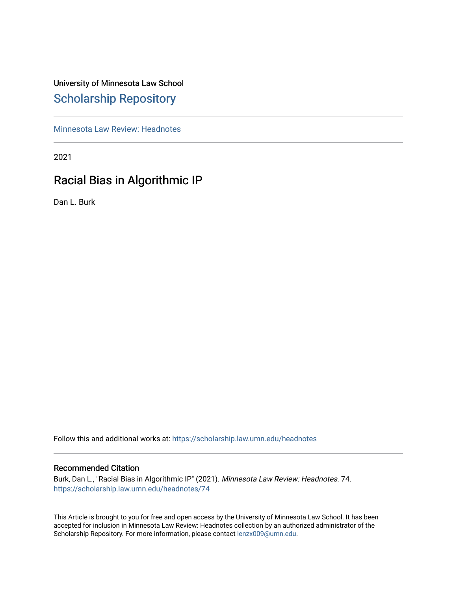# University of Minnesota Law School [Scholarship Repository](https://scholarship.law.umn.edu/)

[Minnesota Law Review: Headnotes](https://scholarship.law.umn.edu/headnotes) 

2021

# Racial Bias in Algorithmic IP

Dan L. Burk

Follow this and additional works at: [https://scholarship.law.umn.edu/headnotes](https://scholarship.law.umn.edu/headnotes?utm_source=scholarship.law.umn.edu%2Fheadnotes%2F74&utm_medium=PDF&utm_campaign=PDFCoverPages) 

### Recommended Citation

Burk, Dan L., "Racial Bias in Algorithmic IP" (2021). Minnesota Law Review: Headnotes. 74. [https://scholarship.law.umn.edu/headnotes/74](https://scholarship.law.umn.edu/headnotes/74?utm_source=scholarship.law.umn.edu%2Fheadnotes%2F74&utm_medium=PDF&utm_campaign=PDFCoverPages)

This Article is brought to you for free and open access by the University of Minnesota Law School. It has been accepted for inclusion in Minnesota Law Review: Headnotes collection by an authorized administrator of the Scholarship Repository. For more information, please contact [lenzx009@umn.edu.](mailto:lenzx009@umn.edu)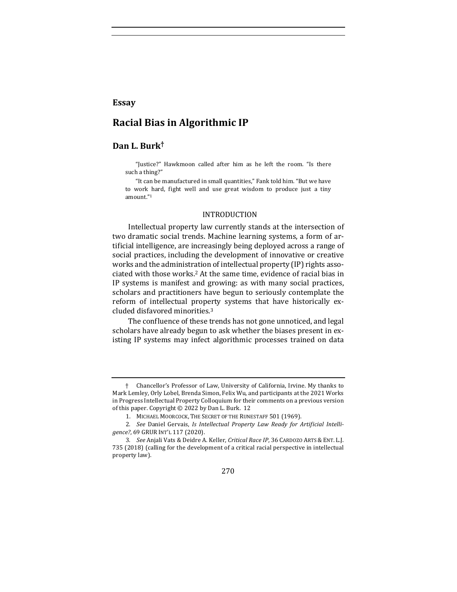### **Essay**

# **Racial Bias in Algorithmic IP**

## **Dan L. Burk†**

"Justice?" Hawkmoon called after him as he left the room. "Is there such a thing?"

"It can be manufactured in small quantities," Fank told him. "But we have to work hard, fight well and use great wisdom to produce just a tiny amount."1

#### INTRODUCTION

Intellectual property law currently stands at the intersection of two dramatic social trends. Machine learning systems, a form of artificial intelligence, are increasingly being deployed across a range of social practices, including the development of innovative or creative works and the administration of intellectual property (IP) rights associated with those works.<sup>2</sup> At the same time, evidence of racial bias in IP systems is manifest and growing: as with many social practices, scholars and practitioners have begun to seriously contemplate the reform of intellectual property systems that have historically excluded disfavored minorities.<sup>3</sup>

The confluence of these trends has not gone unnoticed, and legal scholars have already begun to ask whether the biases present in existing IP systems may infect algorithmic processes trained on data

270

<sup>†</sup> Chancellor's Professor of Law, University of California, Irvine. My thanks to Mark Lemley, Orly Lobel, Brenda Simon, Felix Wu, and participants at the 2021 Works in Progress Intellectual Property Colloquium for their comments on a previous version of this paper. Copyright  $\odot$  2022 by Dan L. Burk. 12

<sup>1.</sup> MICHAEL MOORCOCK, THE SECRET OF THE RUNESTAFF 501 (1969).

<sup>2.</sup> See Daniel Gervais, *Is Intellectual Property Law Ready for Artificial Intelli*gence?, 69 GRUR INT'L 117 (2020).

<sup>3.</sup> *See* Anjali Vats & Deidre A. Keller, *Critical Race IP*, 36 CARDOZO ARTS & ENT. L.J. 735 (2018) (calling for the development of a critical racial perspective in intellectual property law).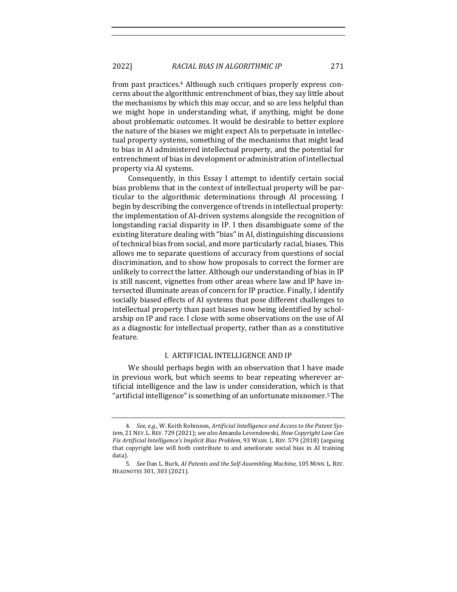from past practices.<sup>4</sup> Although such critiques properly express concerns about the algorithmic entrenchment of bias, they say little about the mechanisms by which this may occur, and so are less helpful than we might hope in understanding what, if anything, might be done about problematic outcomes. It would be desirable to better explore the nature of the biases we might expect AIs to perpetuate in intellectual property systems, something of the mechanisms that might lead to bias in AI administered intellectual property, and the potential for entrenchment of bias in development or administration of intellectual property via AI systems.

Consequently, in this Essay I attempt to identify certain social bias problems that in the context of intellectual property will be particular to the algorithmic determinations through AI processing. I begin by describing the convergence of trends in intellectual property: the implementation of AI-driven systems alongside the recognition of longstanding racial disparity in IP. I then disambiguate some of the existing literature dealing with "bias" in AI, distinguishing discussions of technical bias from social, and more particularly racial, biases. This allows me to separate questions of accuracy from questions of social discrimination, and to show how proposals to correct the former are unlikely to correct the latter. Although our understanding of bias in IP is still nascent, vignettes from other areas where law and IP have intersected illuminate areas of concern for IP practice. Finally, I identify socially biased effects of AI systems that pose different challenges to intellectual property than past biases now being identified by scholarship on IP and race. I close with some observations on the use of AI as a diagnostic for intellectual property, rather than as a constitutive feature.

#### I. ARTIFICIAL INTELLIGENCE AND IP

We should perhaps begin with an observation that I have made in previous work, but which seems to bear repeating wherever artificial intelligence and the law is under consideration, which is that "artificial intelligence" is something of an unfortunate misnomer.<sup>5</sup> The

<sup>4.</sup> See, e.g., W. Keith Robinson, Artificial Intelligence and Access to the Patent System, 21 NEV. L. REV. 729 (2021); see also Amanda Levendowski, *How Copyright Law Can F ix Artif icial Intelligence's Implicit Bias Problem*, 93 WASH. L. REV. 579 (2018) (arguing that copyright law will both contribute to and ameliorate social bias in AI training data).

<sup>5.</sup> *See* Dan L. Burk, AI Patents and the Self-Assembling Machine, 105 MINN. L. REV. HEADNOTES 301, 303 (2021).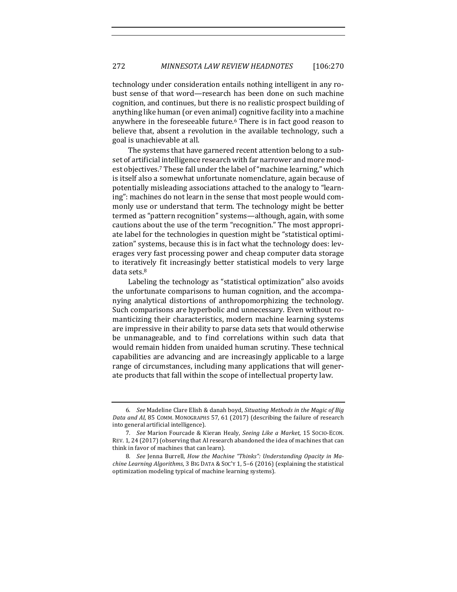technology under consideration entails nothing intelligent in any robust sense of that word—research has been done on such machine cognition, and continues, but there is no realistic prospect building of anything like human (or even animal) cognitive facility into a machine anywhere in the foreseeable future.<sup>6</sup> There is in fact good reason to believe that, absent a revolution in the available technology, such a goal is unachievable at all.

The systems that have garnered recent attention belong to a subset of artificial intelligence research with far narrower and more modest objectives.<sup>7</sup> These fall under the label of "machine learning," which is itself also a somewhat unfortunate nomenclature, again because of potentially misleading associations attached to the analogy to "learning": machines do not learn in the sense that most people would commonly use or understand that term. The technology might be better termed as "pattern recognition" systems—although, again, with some cautions about the use of the term "recognition." The most appropriate label for the technologies in question might be "statistical optimization" systems, because this is in fact what the technology does: leverages very fast processing power and cheap computer data storage to iteratively fit increasingly better statistical models to very large data sets.<sup>8</sup>

Labeling the technology as "statistical optimization" also avoids the unfortunate comparisons to human cognition, and the accompanying analytical distortions of anthropomorphizing the technology. Such comparisons are hyperbolic and unnecessary. Even without romanticizing their characteristics, modern machine learning systems are impressive in their ability to parse data sets that would otherwise be unmanageable, and to find correlations within such data that would remain hidden from unaided human scrutiny. These technical capabilities are advancing and are increasingly applicable to a large range of circumstances, including many applications that will generate products that fall within the scope of intellectual property law.

<sup>6.</sup> See Madeline Clare Elish & danah boyd, Situating Methods in the Magic of Big Data and AI, 85 COMM. MONOGRAPHS 57, 61 (2017) (describing the failure of research into general artificial intelligence).

<sup>7.</sup> *See* Marion Fourcade & Kieran Healy, Seeing Like a Market, 15 SOCIO-ECON. REV. 1, 24 (2017) (observing that AI research abandoned the idea of machines that can think in favor of machines that can learn).

<sup>8.</sup> See Jenna Burrell, *How the Machine "Thinks": Understanding Opacity in Ma*chine Learning Algorithms, 3 BIG DATA & SoC'Y 1, 5-6 (2016) (explaining the statistical optimization modeling typical of machine learning systems).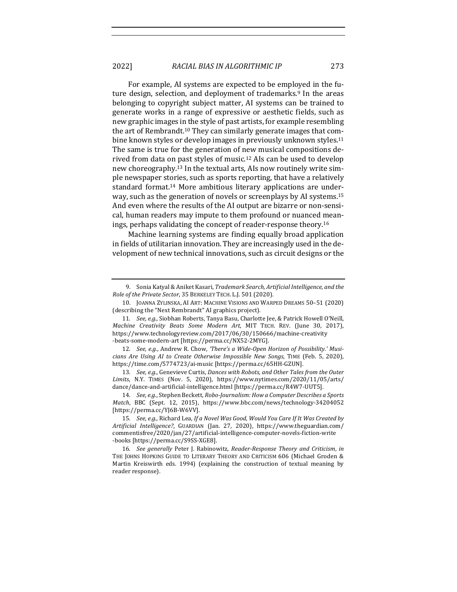For example, AI systems are expected to be employed in the future design, selection, and deployment of trademarks.<sup>9</sup> In the areas belonging to copyright subject matter, AI systems can be trained to generate works in a range of expressive or aesthetic fields, such as new graphic images in the style of past artists, for example resembling the art of Rembrandt.<sup>10</sup> They can similarly generate images that combine known styles or develop images in previously unknown styles.<sup>11</sup> The same is true for the generation of new musical compositions derived from data on past styles of music.<sup>12</sup> AIs can be used to develop new choreography.<sup>13</sup> In the textual arts, AIs now routinely write simple newspaper stories, such as sports reporting, that have a relatively standard format.<sup>14</sup> More ambitious literary applications are underway, such as the generation of novels or screenplays by AI systems.<sup>15</sup> And even where the results of the AI output are bizarre or non-sensical, human readers may impute to them profound or nuanced meanings, perhaps validating the concept of reader-response theory.<sup>16</sup>

Machine learning systems are finding equally broad application in fields of utilitarian innovation. They are increasingly used in the development of new technical innovations, such as circuit designs or the

<sup>9.</sup> Sonia Katyal & Aniket Kasari, *Trademark Search, Artificial Intelligence, and the Role of the Private Sector*, 35 BERKELEY TECH. L.J. 501 (2020).

<sup>10.</sup> JOANNA ZYLINSKA, AI ART: MACHINE VISIONS AND WARPED DREAMS 50-51 (2020) (describing the "Next Rembrandt" AI graphics project).

<sup>11.</sup> *See, e.g.*, Siobhan Roberts, Tanya Basu, Charlotte Jee, & Patrick Howell O'Neill, *Machine Creativity Beats Some Modern Art*, MIT TECH. REV. (June 30, 2017), https://www.technologyreview.com/2017/06/30/150666/machine-creativity -beats-some-modern-art [https://perma.cc/NX52-2MYG].

<sup>12.</sup> See, e.g., Andrew R. Chow, 'There's a Wide-Open Horizon of Possibility.' Musi*cians Are Using AI to Create Otherwise Impossible New Songs*, TIME (Feb. 5, 2020), https://time.com/5774723/ai-music [https://perma.cc/65HH-GZUN].

<sup>13.</sup> *See, e.g.,* Genevieve Curtis, Dances with Robots, and Other Tales from the Outer *Limits*, N.Y. TIMES (Nov. 5, 2020), https://www.nytimes.com/2020/11/05/arts/ dance/dance-and-artificial-intelligence.html [https://perma.cc/R4W7-UUT5].

<sup>14.</sup> *See, e.g.*, Stephen Beckett, *Robo-Journalism: How a Computer Describes a Sports Match*, BBC (Sept. 12, 2015), https://www.bbc.com/news/technology-34204052 [https://perma.cc/YJ6B-W6VV].

<sup>15.</sup> *See, e.g.*, Richard Lea, If a Novel Was Good, Would You Care If It Was Created by *Artif icial Intelligence?*, GUARDIAN (Jan. 27, 2020), https://www.theguardian.com/ commentisfree/2020/jan/27/artif icial-intelligence-computer-novels-f iction-write -books [https://perma.cc/S9SS-XGE8].

<sup>16</sup>*. See generally* Peter J. Rabinowitz, *Reader-Response Theory and Criticism*, *in* THE JOHNS HOPKINS GUIDE TO LITERARY THEORY AND CRITICISM 606 (Michael Groden & Martin Kreiswirth eds. 1994) (explaining the construction of textual meaning by reader response).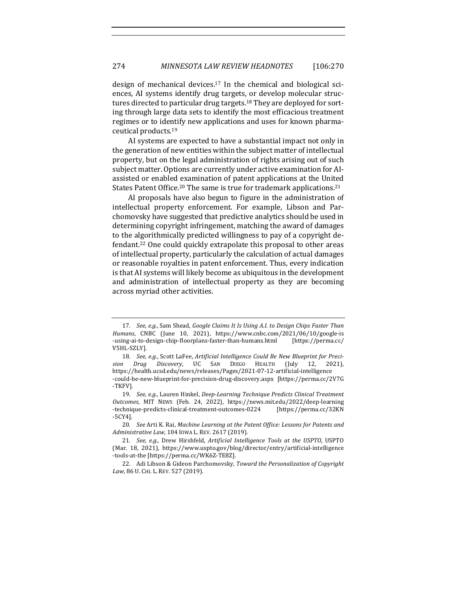design of mechanical devices.<sup>17</sup> In the chemical and biological sciences, AI systems identify drug targets, or develop molecular structures directed to particular drug targets.<sup>18</sup> They are deployed for sorting through large data sets to identify the most efficacious treatment regimes or to identify new applications and uses for known pharmaceutical products.<sup>19</sup>

AI systems are expected to have a substantial impact not only in the generation of new entities within the subject matter of intellectual property, but on the legal administration of rights arising out of such subject matter. Options are currently under active examination for AIassisted or enabled examination of patent applications at the United States Patent Office.<sup>20</sup> The same is true for trademark applications.<sup>21</sup>

AI proposals have also begun to figure in the administration of intellectual property enforcement. For example, Libson and Parchomovsky have suggested that predictive analytics should be used in determining copyright infringement, matching the award of damages to the algorithmically predicted willingness to pay of a copyright defendant.<sup>22</sup> One could quickly extrapolate this proposal to other areas of intellectual property, particularly the calculation of actual damages or reasonable royalties in patent enforcement. Thus, every indication is that AI systems will likely become as ubiquitous in the development and administration of intellectual property as they are becoming across myriad other activities.

<sup>17.</sup> *See, e.g.*, Sam Shead, *Google Claims It Is Using A.I. to Design Chips Faster Than Humans*, CNBC (June 10, 2021), https://www.cnbc.com/2021/06/10/google-is -using-ai-to-design-chip-floorplans-faster-than-humans.html [https://perma.cc/ V5HL-SZLY].

<sup>18.</sup> See, e.g., Scott LaFee, Artificial Intelligence Could Be New Blueprint for Preci*sion Drug Discovery*, UC SAN DIEGO HEALTH (July 12, 2021), https://health.ucsd.edu/news/releases/Pages/2021-07-12-artif icial-intelligence -could-be-new-blueprint-for-precision-drug-discovery.aspx [https://perma.cc/2V7G -TKFV].

<sup>19.</sup> See, e.g., Lauren Hinkel, Deep-Learning Technique Predicts Clinical Treatment *Outcomes*, MIT NEWS (Feb. 24, 2022), https://news.mit.edu/2022/deep-learning -technique-predicts-clinical-treatment-outcomes-0224 [https://perma.cc/32KN -5CY4].

<sup>20.</sup> See Arti K. Rai, *Machine Learning at the Patent Office: Lessons for Patents and Administrative Law,* 104 Iowa L. REV. 2617 (2019).

<sup>21.</sup> *See, e.g.*, Drew Hirshfeld, Artificial Intelligence Tools at the USPTO, USPTO (Mar. 18, 2021), https://www.uspto.gov/blog/director/entry/artificial-intelligence -tools-at-the [https://perma.cc/WK6Z-TE8Z].

<sup>22.</sup> Adi Libson & Gideon Parchomovsky, *Toward the Personalization of Copyright* Law, 86 U. CHI. L. REV. 527 (2019).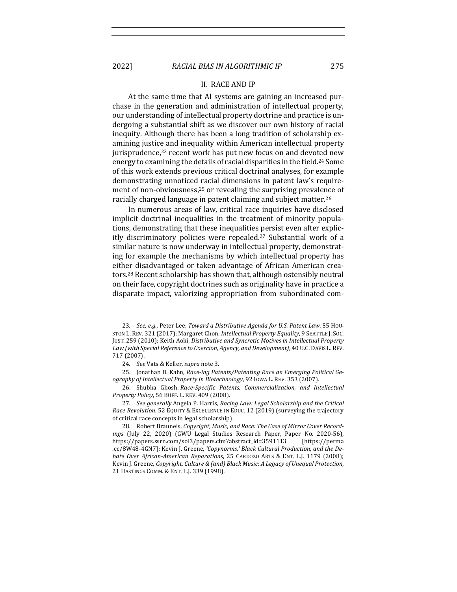#### II. RACE AND IP

At the same time that AI systems are gaining an increased purchase in the generation and administration of intellectual property, our understanding of intellectual property doctrine and practice is undergoing a substantial shift as we discover our own history of racial inequity. Although there has been a long tradition of scholarship examining justice and inequality within American intellectual property jurisprudence, $23$  recent work has put new focus on and devoted new energy to examining the details of racial disparities in the field.<sup>24</sup> Some of this work extends previous critical doctrinal analyses, for example demonstrating unnoticed racial dimensions in patent law's requirement of non-obviousness, $25$  or revealing the surprising prevalence of racially charged language in patent claiming and subject matter.<sup>26</sup>

In numerous areas of law, critical race inquiries have disclosed implicit doctrinal inequalities in the treatment of minority populations, demonstrating that these inequalities persist even after explicitly discriminatory policies were repealed.<sup>27</sup> Substantial work of a similar nature is now underway in intellectual property, demonstrating for example the mechanisms by which intellectual property has either disadvantaged or taken advantage of African American creators.<sup>28</sup> Recent scholarship has shown that, although ostensibly neutral on their face, copyright doctrines such as originality have in practice a disparate impact, valorizing appropriation from subordinated com-

<sup>23.</sup> *See, e.g.,* Peter Lee, *Toward a Distributive Agenda for U.S. Patent Law*, 55 HOU-STON L. REV. 321 (2017); Margaret Chon, *Intellectual Property Equality*, 9 SEATTLE J. SOC. JUST. 259 (2010); Keith Aoki, Distributive and Syncretic Motives in Intellectual Property Law (with Special Reference to Coercion, Agency, and Development), 40 U.C. DAVIS L. REV. 717 (2007).

<sup>24.</sup> *See* Vats & Keller, *supra* note 3.

<sup>25.</sup> Jonathan D. Kahn, Race-ing Patents/Patenting Race an Emerging Political Geography of Intellectual Property in Biotechnology, 92 IOWA L. REV. 353 (2007).

<sup>26.</sup> Shubha Ghosh, *Race-Specif ic Patents, Commercialization, and Intellectual Property Policy*, 56 BUFF. L. REV. 409 (2008).

<sup>27.</sup> See generally Angela P. Harris, *Racing Law: Legal Scholarship and the Critical Race Revolution*, 52 EQUITY & EXCELLENCE IN EDUC. 12 (2019) (surveying the trajectory of critical race concepts in legal scholarship).

<sup>28.</sup> Robert Brauneis, *Copyright, Music, and Race: The Case of Mirror Cover Record*ings (July 22, 2020) (GWU Legal Studies Research Paper, Paper No. 2020-56), https://papers.ssrn.com/sol3/papers.cfm?abstract\_id=3591113 [https://perma .cc/8W48-4GN7]; Kevin J. Greene, 'Copynorms,' Black Cultural Production, and the De*bate Over African-American Reparations*, 25 CARDOZO ARTS & ENT. L.J. 1179 (2008); Kevin J. Greene, *Copyright, Culture & (and) Black Music: A Legacy of Unequal Protection*, 21 HASTINGS COMM. & ENT. L.J. 339 (1998).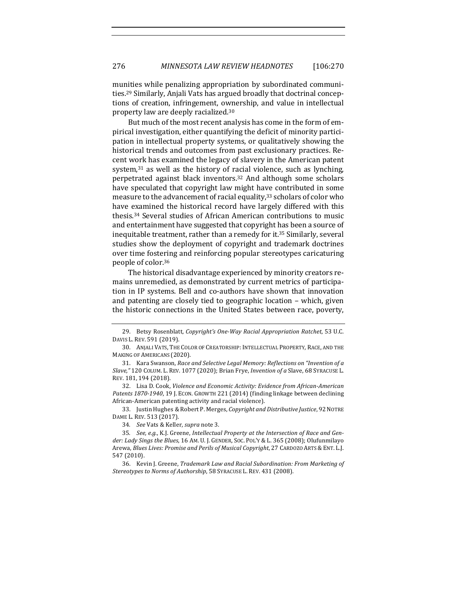munities while penalizing appropriation by subordinated communities.<sup>29</sup> Similarly, Anjali Vats has argued broadly that doctrinal conceptions of creation, infringement, ownership, and value in intellectual property law are deeply racialized.<sup>30</sup>

But much of the most recent analysis has come in the form of empirical investigation, either quantifying the deficit of minority participation in intellectual property systems, or qualitatively showing the historical trends and outcomes from past exclusionary practices. Recent work has examined the legacy of slavery in the American patent system, $31$  as well as the history of racial violence, such as lynching, perpetrated against black inventors.<sup>32</sup> And although some scholars have speculated that copyright law might have contributed in some measure to the advancement of racial equality,<sup>33</sup> scholars of color who have examined the historical record have largely differed with this thesis.<sup>34</sup> Several studies of African American contributions to music and entertainment have suggested that copyright has been a source of inequitable treatment, rather than a remedy for it.<sup>35</sup> Similarly, several studies show the deployment of copyright and trademark doctrines over time fostering and reinforcing popular stereotypes caricaturing people of color.<sup>36</sup>

The historical disadvantage experienced by minority creators remains unremedied, as demonstrated by current metrics of participation in IP systems. Bell and co-authors have shown that innovation and patenting are closely tied to geographic location  $-$  which, given the historic connections in the United States between race, poverty,

32. Lisa D. Cook, *Violence and Economic Activity: Evidence from African-American* Patents 1870-1940, 19 J. ECON. GROWTH 221 (2014) (finding linkage between declining African-American patenting activity and racial violence).

33. Justin Hughes & Robert P. Merges, *Copyright and Distributive Justice*, 92 NOTRE DAME L. REV. 513 (2017).

<sup>29.</sup> Betsy Rosenblatt, *Copyright's One-Way Racial Appropriation Ratchet*, 53 U.C. DAVIS L. REV. 591 (2019).

<sup>30.</sup> ANJALI VATS, THE COLOR OF CREATORSHIP: INTELLECTUAL PROPERTY, RACE, AND THE MAKING OF AMERICANS (2020).

<sup>31.</sup> Kara Swanson, Race and Selective Legal Memory: Reflections on "Invention of a Slave," 120 COLUM. L. REV. 1077 (2020); Brian Frye, *Invention of a Slave*, 68 SYRACUSE L. REV. 181, 194 (2018).

<sup>34</sup>*. See* Vats & Keller, *supra* note 3.

<sup>35.</sup> See, e.g., K.J. Greene, *Intellectual Property at the Intersection of Race and Gen*der: Lady Sings the Blues, 16 AM. U. J. GENDER, Soc. PoL'Y & L. 365 (2008); Olufunmilayo Arewa, *Blues Lives: Promise and Perils of Musical Copyright*, 27 CARDOZO ARTS & ENT. L.J. 547 (2010).

<sup>36.</sup> Kevin J. Greene, *Trademark Law and Racial Subordination: From Marketing of* Stereotypes to Norms of Authorship, 58 SYRACUSE L. REV. 431 (2008).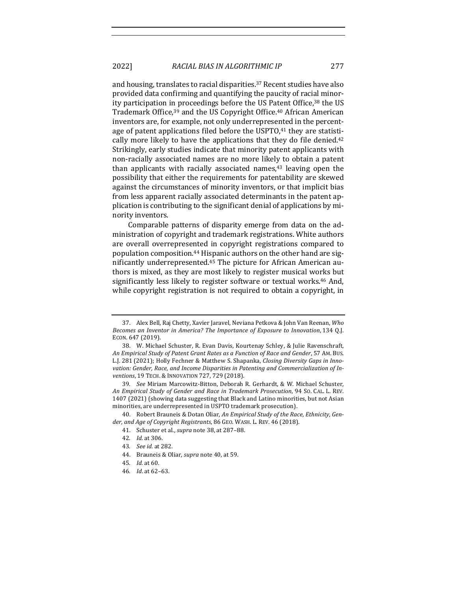and housing, translates to racial disparities.<sup>37</sup> Recent studies have also provided data confirming and quantifying the paucity of racial minority participation in proceedings before the US Patent Office,<sup>38</sup> the US Trademark Office.<sup>39</sup> and the US Copyright Office.<sup>40</sup> African American inventors are, for example, not only underrepresented in the percentage of patent applications filed before the USPTO,<sup>41</sup> they are statistically more likely to have the applications that they do file denied. $42$ Strikingly, early studies indicate that minority patent applicants with non-racially associated names are no more likely to obtain a patent than applicants with racially associated names, $43$  leaving open the possibility that either the requirements for patentability are skewed against the circumstances of minority inventors, or that implicit bias from less apparent racially associated determinants in the patent application is contributing to the significant denial of applications by minority inventors.

Comparable patterns of disparity emerge from data on the administration of copyright and trademark registrations. White authors are overall overrepresented in copyright registrations compared to population composition.<sup>44</sup> Hispanic authors on the other hand are significantly underrepresented.<sup>45</sup> The picture for African American authors is mixed, as they are most likely to register musical works but significantly less likely to register software or textual works.<sup>46</sup> And, while copyright registration is not required to obtain a copyright, in

40. Robert Brauneis & Dotan Oliar, An Empirical Study of the Race, Ethnicity, Gender, and Age of Copyright Registrants, 86 GEO. WASH. L. REV. 46 (2018).

42*. Id.* at 306.

<sup>37.</sup> Alex Bell, Raj Chetty, Xavier Jaravel, Neviana Petkova & John Van Reenan, *Who* Becomes an Inventor in America? The Importance of Exposure to Innovation, 134 Q.J. ECON. 647 (2019).

<sup>38.</sup> W. Michael Schuster, R. Evan Davis, Kourtenay Schley, & Julie Ravenschraft, An Empirical Study of Patent Grant Rates as a Function of Race and Gender, 57 AM. Bus. L.J. 281 (2021); Holly Fechner & Matthew S. Shapanka, *Closing Diversity Gaps in Inno*vation: Gender, Race, and Income Disparities in Patenting and Commercialization of In*ventions*, 19 TECH. & INNOVATION 727, 729 (2018).

<sup>39.</sup> *See* Miriam Marcowitz-Bitton, Deborah R. Gerhardt, & W. Michael Schuster, *An Empirical Study of Gender and Race in Trademark Prosecution*, 94 SO. CAL. L. REV. 1407 (2021) (showing data suggesting that Black and Latino minorities, but not Asian minorities, are underrepresented in USPTO trademark prosecution).

<sup>41.</sup> Schuster et al., *supra* note 38, at 287-88.

<sup>43</sup>*. See id.* at 282.

<sup>44.</sup> Brauneis & Oliar, *supra* note 40, at 59.

<sup>45</sup>*. Id.* at 60.

<sup>46</sup>*. Id*. at 62–63.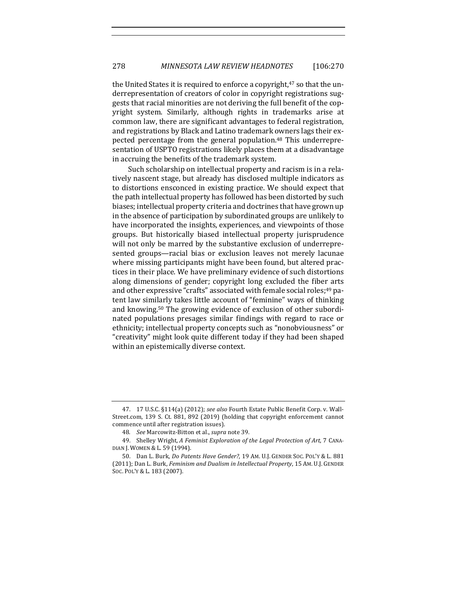the United States it is required to enforce a copyright, $47$  so that the underrepresentation of creators of color in copyright registrations suggests that racial minorities are not deriving the full benefit of the copyright system. Similarly, although rights in trademarks arise at common law, there are significant advantages to federal registration, and registrations by Black and Latino trademark owners lags their expected percentage from the general population.<sup>48</sup> This underrepresentation of USPTO registrations likely places them at a disadvantage in accruing the benefits of the trademark system.

Such scholarship on intellectual property and racism is in a relatively nascent stage, but already has disclosed multiple indicators as to distortions ensconced in existing practice. We should expect that the path intellectual property has followed has been distorted by such biases; intellectual property criteria and doctrines that have grown up in the absence of participation by subordinated groups are unlikely to have incorporated the insights, experiences, and viewpoints of those groups. But historically biased intellectual property jurisprudence will not only be marred by the substantive exclusion of underrepresented groups—racial bias or exclusion leaves not merely lacunae where missing participants might have been found, but altered practices in their place. We have preliminary evidence of such distortions along dimensions of gender; copyright long excluded the fiber arts and other expressive "crafts" associated with female social roles;<sup>49</sup> patent law similarly takes little account of "feminine" ways of thinking and knowing.<sup>50</sup> The growing evidence of exclusion of other subordinated populations presages similar findings with regard to race or ethnicity; intellectual property concepts such as "nonobviousness" or "creativity" might look quite different today if they had been shaped within an epistemically diverse context.

<sup>47. 17</sup> U.S.C. §114(a) (2012); see also Fourth Estate Public Benefit Corp. v. Wall-Street.com, 139 S. Ct. 881, 892 (2019) (holding that copyright enforcement cannot commence until after registration issues).

<sup>48</sup>*. See* Marcowitz-Bitton et al., *supra* note 39.

<sup>49.</sup> Shelley Wright, A Feminist Exploration of the Legal Protection of Art, 7 CANA-DIAN J. WOMEN & L. 59 (1994).

<sup>50.</sup> Dan L. Burk, *Do Patents Have Gender?*, 19 AM. U.J. GENDER SOC. POL'Y & L. 881 (2011); Dan L. Burk, *Feminism and Dualism in Intellectual Property*, 15 AM. U.J. GENDER Soc. Pol'y & L. 183 (2007).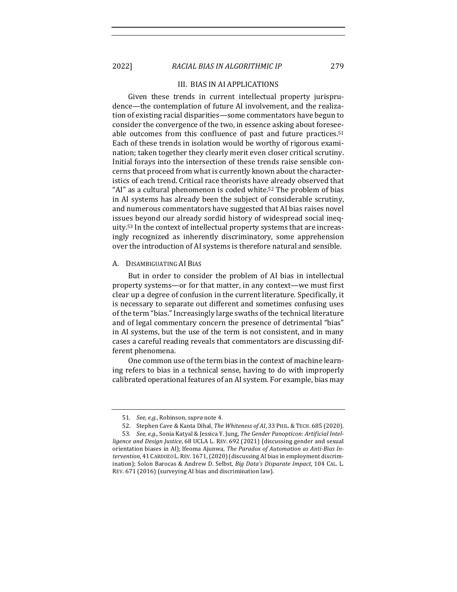#### III. BIAS IN AI APPLICATIONS

Given these trends in current intellectual property jurisprudence—the contemplation of future AI involvement, and the realization of existing racial disparities—some commentators have begun to consider the convergence of the two, in essence asking about foreseeable outcomes from this confluence of past and future practices.<sup>51</sup> Each of these trends in isolation would be worthy of rigorous examination; taken together they clearly merit even closer critical scrutiny. Initial forays into the intersection of these trends raise sensible concerns that proceed from what is currently known about the characteristics of each trend. Critical race theorists have already observed that "AI" as a cultural phenomenon is coded white.<sup>52</sup> The problem of bias in AI systems has already been the subject of considerable scrutiny, and numerous commentators have suggested that AI bias raises novel issues beyond our already sordid history of widespread social inequity.<sup>53</sup> In the context of intellectual property systems that are increasingly recognized as inherently discriminatory, some apprehension over the introduction of AI systems is therefore natural and sensible.

#### A. DISAMBIGUATING AI BIAS

But in order to consider the problem of AI bias in intellectual property systems—or for that matter, in any context—we must first clear up a degree of confusion in the current literature. Specifically, it is necessary to separate out different and sometimes confusing uses of the term "bias." Increasingly large swaths of the technical literature and of legal commentary concern the presence of detrimental "bias" in AI systems, but the use of the term is not consistent, and in many cases a careful reading reveals that commentators are discussing different phenomena.

One common use of the term bias in the context of machine learning refers to bias in a technical sense, having to do with improperly calibrated operational features of an AI system. For example, bias may

<sup>51.</sup> *See, e.g.*, Robinson, *supra* note 4.

<sup>52.</sup> Stephen Cave & Kanta Dihal, *The Whiteness of AI*, 33 PHIL. & TECH. 685 (2020).

<sup>53.</sup> See, e.g., Sonia Katyal & Jessica Y. Jung, *The Gender Panopticon: Artificial Intelligence and Design Justice*, 68 UCLA L. REV. 692 (2021) (discussing gender and sexual orientation biases in AI); Ifeoma Ajunwa, The Paradox of Automation as Anti-Bias Intervention, 41 CARDOZO L. REV. 1671, (2020) (discussing AI bias in employment discrimination); Solon Barocas & Andrew D. Selbst, *Big Data's Disparate Impact*, 104 CAL. L. REV. 671 (2016) (surveying AI bias and discrimination law).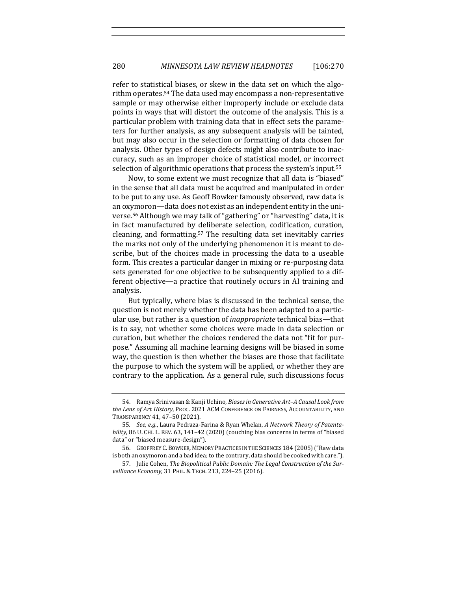refer to statistical biases, or skew in the data set on which the algorithm operates.<sup>54</sup> The data used may encompass a non-representative sample or may otherwise either improperly include or exclude data points in ways that will distort the outcome of the analysis. This is a particular problem with training data that in effect sets the parameters for further analysis, as any subsequent analysis will be tainted, but may also occur in the selection or formatting of data chosen for analysis. Other types of design defects might also contribute to inaccuracy, such as an improper choice of statistical model, or incorrect selection of algorithmic operations that process the system's input.<sup>55</sup>

Now, to some extent we must recognize that all data is "biased" in the sense that all data must be acquired and manipulated in order to be put to any use. As Geoff Bowker famously observed, raw data is an oxymoron—data does not exist as an independent entity in the universe.<sup>56</sup> Although we may talk of "gathering" or "harvesting" data, it is in fact manufactured by deliberate selection, codification, curation, cleaning, and formatting.<sup>57</sup> The resulting data set inevitably carries the marks not only of the underlying phenomenon it is meant to describe, but of the choices made in processing the data to a useable form. This creates a particular danger in mixing or re-purposing data sets generated for one objective to be subsequently applied to a different objective—a practice that routinely occurs in AI training and analysis.

But typically, where bias is discussed in the technical sense, the question is not merely whether the data has been adapted to a particular use, but rather is a question of *inappropriate* technical bias—that is to say, not whether some choices were made in data selection or curation, but whether the choices rendered the data not "fit for purpose." Assuming all machine learning designs will be biased in some way, the question is then whether the biases are those that facilitate the purpose to which the system will be applied, or whether they are contrary to the application. As a general rule, such discussions focus

<sup>54.</sup> Ramya Srinivasan & Kanji Uchino, *Biases in Generative Art-A Causal Look from* the Lens of Art History, PROC. 2021 ACM CONFERENCE ON FAIRNESS, ACCOUNTABILITY, AND TRANSPARENCY 41, 47-50 (2021).

<sup>55.</sup> See, e.g., Laura Pedraza-Farina & Ryan Whelan, A Network Theory of Patentability, 86 U. CHI. L. REV. 63, 141-42 (2020) (couching bias concerns in terms of "biased data" or "biased measure-design").

<sup>56.</sup> GEOFFREY C. BOWKER, MEMORY PRACTICES IN THE SCIENCES 184 (2005) ("Raw data is both an oxymoron and a bad idea; to the contrary, data should be cooked with care.").

<sup>57.</sup> Julie Cohen, *The Biopolitical Public Domain: The Legal Construction of the Surveillance Economy*, 31 PHIL. & TECH. 213, 224–25 (2016).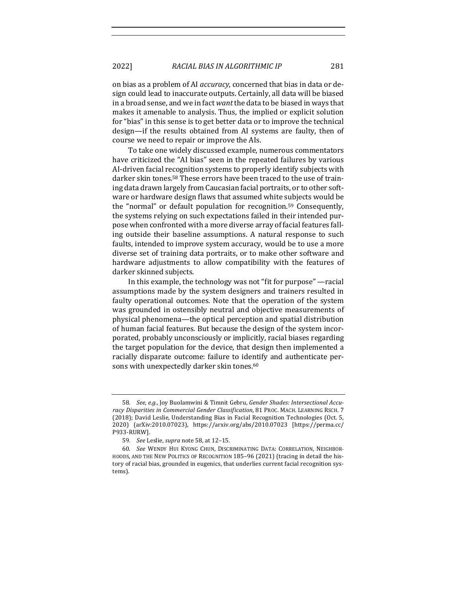on bias as a problem of AI *accuracy*, concerned that bias in data or design could lead to inaccurate outputs. Certainly, all data will be biased in a broad sense, and we in fact want the data to be biased in ways that makes it amenable to analysis. Thus, the implied or explicit solution for "bias" in this sense is to get better data or to improve the technical design—if the results obtained from AI systems are faulty, then of course we need to repair or improve the AIs.

To take one widely discussed example, numerous commentators have criticized the "AI bias" seen in the repeated failures by various AI-driven facial recognition systems to properly identify subjects with darker skin tones.<sup>58</sup> These errors have been traced to the use of training data drawn largely from Caucasian facial portraits, or to other software or hardware design flaws that assumed white subjects would be the "normal" or default population for recognition.<sup>59</sup> Consequently, the systems relying on such expectations failed in their intended purpose when confronted with a more diverse array of facial features falling outside their baseline assumptions. A natural response to such faults, intended to improve system accuracy, would be to use a more diverse set of training data portraits, or to make other software and hardware adjustments to allow compatibility with the features of darker skinned subjects.

In this example, the technology was not "fit for purpose"  $-$  racial assumptions made by the system designers and trainers resulted in faulty operational outcomes. Note that the operation of the system was grounded in ostensibly neutral and objective measurements of physical phenomena—the optical perception and spatial distribution of human facial features. But because the design of the system incorporated, probably unconsciously or implicitly, racial biases regarding the target population for the device, that design then implemented a racially disparate outcome: failure to identify and authenticate persons with unexpectedly darker skin tones.<sup>60</sup>

<sup>58.</sup> See, e.g., Joy Buolamwini & Timnit Gebru, Gender Shades: Intersectional Accuracy Disparities in Commercial Gender Classification, 81 PROC. MACH. LEARNING RSCH. 7 (2018); David Leslie, Understanding Bias in Facial Recognition Technologies (Oct. 5, 2020) (arXiv:2010.07023), https://arxiv.org/abs/2010.07023 [https://perma.cc/ P933-RURW].

<sup>59</sup>*. See* Leslie, *supra* note 58, at 12–15.

<sup>60</sup>*. See*  WENDY HUI KYONG CHUN, DISCRIMINATING DATA: CORRELATION, NEIGHBOR-HOODS, AND THE NEW POLITICS OF RECOGNITION 185-96 (2021) (tracing in detail the history of racial bias, grounded in eugenics, that underlies current facial recognition systems).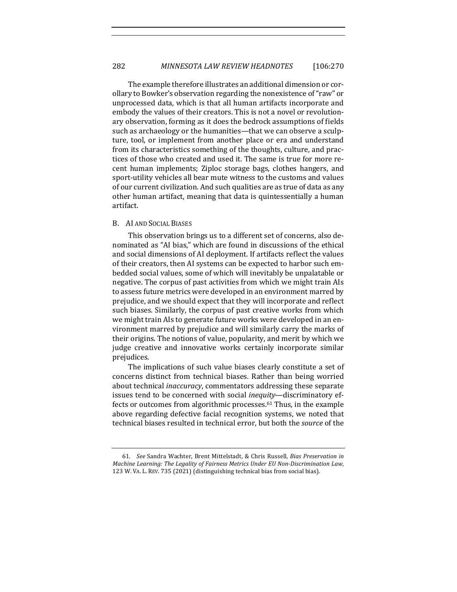The example therefore illustrates an additional dimension or corollary to Bowker's observation regarding the nonexistence of "raw" or unprocessed data, which is that all human artifacts incorporate and embody the values of their creators. This is not a novel or revolutionary observation, forming as it does the bedrock assumptions of fields such as archaeology or the humanities—that we can observe a sculpture, tool, or implement from another place or era and understand from its characteristics something of the thoughts, culture, and practices of those who created and used it. The same is true for more recent human implements; Ziploc storage bags, clothes hangers, and sport-utility vehicles all bear mute witness to the customs and values of our current civilization. And such qualities are as true of data as any other human artifact, meaning that data is quintessentially a human artifact. 

#### B. AI AND SOCIAL BIASES

This observation brings us to a different set of concerns, also denominated as "AI bias," which are found in discussions of the ethical and social dimensions of AI deployment. If artifacts reflect the values of their creators, then AI systems can be expected to harbor such embedded social values, some of which will inevitably be unpalatable or negative. The corpus of past activities from which we might train AIs to assess future metrics were developed in an environment marred by prejudice, and we should expect that they will incorporate and reflect such biases. Similarly, the corpus of past creative works from which we might train AIs to generate future works were developed in an environment marred by prejudice and will similarly carry the marks of their origins. The notions of value, popularity, and merit by which we judge creative and innovative works certainly incorporate similar prejudices. 

The implications of such value biases clearly constitute a set of concerns distinct from technical biases. Rather than being worried about technical *inaccuracy*, commentators addressing these separate issues tend to be concerned with social *inequity*—discriminatory effects or outcomes from algorithmic processes.<sup>61</sup> Thus, in the example above regarding defective facial recognition systems, we noted that technical biases resulted in technical error, but both the *source* of the

<sup>61.</sup> See Sandra Wachter, Brent Mittelstadt, & Chris Russell, *Bias Preservation in Machine Learning: The Legality of Fairness Metrics Under EU Non-Discrimination Law,* 123 W. VA. L. REV. 735 (2021) (distinguishing technical bias from social bias).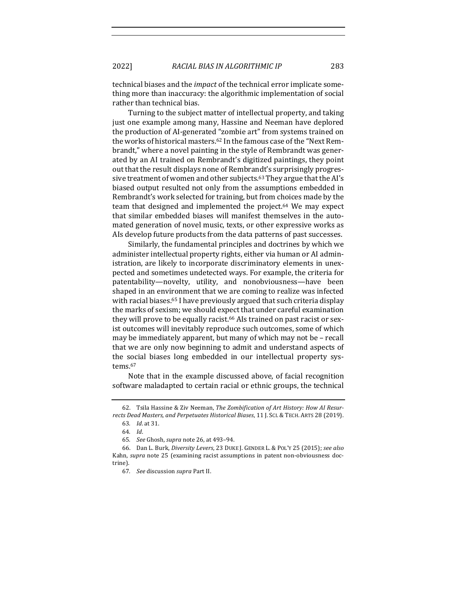technical biases and the *impact* of the technical error implicate something more than inaccuracy: the algorithmic implementation of social rather than technical bias.

Turning to the subject matter of intellectual property, and taking just one example among many, Hassine and Neeman have deplored the production of AI-generated "zombie art" from systems trained on the works of historical masters.<sup>62</sup> In the famous case of the "Next Rembrandt," where a novel painting in the style of Rembrandt was generated by an AI trained on Rembrandt's digitized paintings, they point out that the result displays none of Rembrandt's surprisingly progressive treatment of women and other subjects.<sup>63</sup> They argue that the AI's biased output resulted not only from the assumptions embedded in Rembrandt's work selected for training, but from choices made by the team that designed and implemented the project. $64$  We may expect that similar embedded biases will manifest themselves in the automated generation of novel music, texts, or other expressive works as AIs develop future products from the data patterns of past successes.

Similarly, the fundamental principles and doctrines by which we administer intellectual property rights, either via human or AI administration, are likely to incorporate discriminatory elements in unexpected and sometimes undetected ways. For example, the criteria for patentability—novelty, utility, and nonobviousness—have been shaped in an environment that we are coming to realize was infected with racial biases.<sup>65</sup> I have previously argued that such criteria display the marks of sexism; we should expect that under careful examination they will prove to be equally racist.<sup>66</sup> AIs trained on past racist or sexist outcomes will inevitably reproduce such outcomes, some of which may be immediately apparent, but many of which may not be  $-$  recall that we are only now beginning to admit and understand aspects of the social biases long embedded in our intellectual property systems.67

Note that in the example discussed above, of facial recognition software maladapted to certain racial or ethnic groups, the technical

<sup>62.</sup> Tsila Hassine & Ziv Neeman, *The Zombification of Art History: How AI Resur*rects Dead Masters, and Perpetuates Historical Biases, 11 J. SCI. & TECH. ARTS 28 (2019).

<sup>63</sup>*. Id*. at 31.

<sup>64</sup>*. Id*.

<sup>65</sup>*. See* Ghosh, *supra* note 26, at 493–94.

<sup>66.</sup> Dan L. Burk, *Diversity Levers*, 23 DUKE J. GENDER L. & POL'Y 25 (2015); *see also* Kahn, *supra* note 25 (examining racist assumptions in patent non-obviousness doctrine).

<sup>67</sup>*. See* discussion *supra* Part II.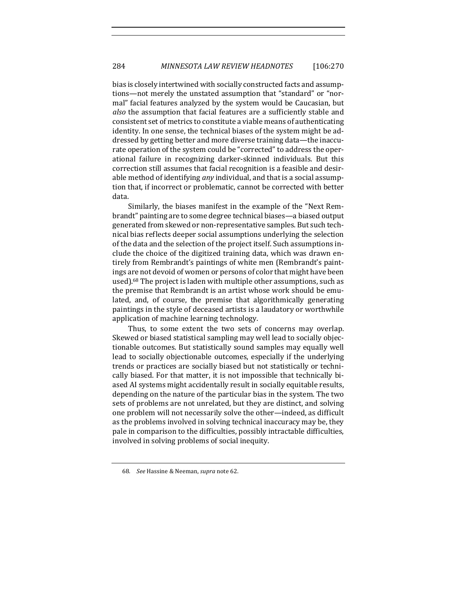bias is closely intertwined with socially constructed facts and assumptions—not merely the unstated assumption that "standard" or "normal" facial features analyzed by the system would be Caucasian, but also the assumption that facial features are a sufficiently stable and consistent set of metrics to constitute a viable means of authenticating identity. In one sense, the technical biases of the system might be addressed by getting better and more diverse training data—the inaccurate operation of the system could be "corrected" to address the operational failure in recognizing darker-skinned individuals. But this correction still assumes that facial recognition is a feasible and desirable method of identifying *any* individual, and that is a social assumption that, if incorrect or problematic, cannot be corrected with better data.

Similarly, the biases manifest in the example of the "Next Rembrandt" painting are to some degree technical biases—a biased output generated from skewed or non-representative samples. But such technical bias reflects deeper social assumptions underlying the selection of the data and the selection of the project itself. Such assumptions include the choice of the digitized training data, which was drawn entirely from Rembrandt's paintings of white men (Rembrandt's paintings are not devoid of women or persons of color that might have been used).<sup>68</sup> The project is laden with multiple other assumptions, such as the premise that Rembrandt is an artist whose work should be emulated, and, of course, the premise that algorithmically generating paintings in the style of deceased artists is a laudatory or worthwhile application of machine learning technology.

Thus, to some extent the two sets of concerns may overlap. Skewed or biased statistical sampling may well lead to socially objectionable outcomes. But statistically sound samples may equally well lead to socially objectionable outcomes, especially if the underlying trends or practices are socially biased but not statistically or technically biased. For that matter, it is not impossible that technically biased AI systems might accidentally result in socially equitable results, depending on the nature of the particular bias in the system. The two sets of problems are not unrelated, but they are distinct, and solving one problem will not necessarily solve the other—indeed, as difficult as the problems involved in solving technical inaccuracy may be, they pale in comparison to the difficulties, possibly intractable difficulties, involved in solving problems of social inequity.

<sup>68.</sup> *See* Hassine & Neeman, *supra* note 62.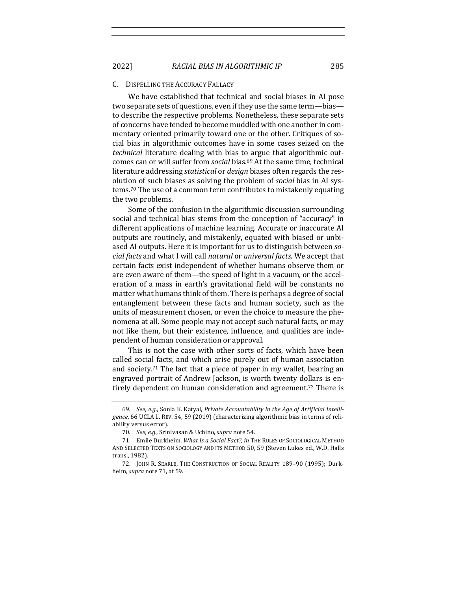#### C. DISPELLING THE ACCURACY FALLACY

We have established that technical and social biases in AI pose two separate sets of questions, even if they use the same term—bias to describe the respective problems. Nonetheless, these separate sets of concerns have tended to become muddled with one another in commentary oriented primarily toward one or the other. Critiques of social bias in algorithmic outcomes have in some cases seized on the *technical* literature dealing with bias to argue that algorithmic outcomes can or will suffer from *social* bias.<sup>69</sup> At the same time, technical literature addressing *statistical* or *design* biases often regards the resolution of such biases as solving the problem of *social* bias in AI systems.<sup>70</sup> The use of a common term contributes to mistakenly equating the two problems.

Some of the confusion in the algorithmic discussion surrounding social and technical bias stems from the conception of "accuracy" in different applications of machine learning. Accurate or inaccurate AI outputs are routinely, and mistakenly, equated with biased or unbiased AI outputs. Here it is important for us to distinguish between so*cial facts* and what I will call *natural* or *universal facts*. We accept that certain facts exist independent of whether humans observe them or are even aware of them—the speed of light in a vacuum, or the acceleration of a mass in earth's gravitational field will be constants no matter what humans think of them. There is perhaps a degree of social entanglement between these facts and human society, such as the units of measurement chosen, or even the choice to measure the phenomena at all. Some people may not accept such natural facts, or may not like them, but their existence, influence, and qualities are independent of human consideration or approval.

This is not the case with other sorts of facts, which have been called social facts, and which arise purely out of human association and society.<sup>71</sup> The fact that a piece of paper in my wallet, bearing an engraved portrait of Andrew Jackson, is worth twenty dollars is entirely dependent on human consideration and agreement.<sup>72</sup> There is

<sup>69.</sup> See, e.g., Sonia K. Katyal, Private Accountability in the Age of Artificial Intelligence, 66 UCLA L. REV. 54, 59 (2019) (characterizing algorithmic bias in terms of reliability versus error).

<sup>70.</sup> *See, e.g.*, Srinivasan & Uchino, *supra* note 54.

<sup>71.</sup> Emile Durkheim, *What Is a Social Fact?, in* THE RULES OF SOCIOLOGICAL METHOD AND SELECTED TEXTS ON SOCIOLOGY AND ITS METHOD 50, 59 (Steven Lukes ed., W.D. Halls trans., 1982).

<sup>72.</sup> JOHN R. SEARLE, THE CONSTRUCTION OF SOCIAL REALITY 189-90 (1995); Durkheim, *supra* note 71, at 59.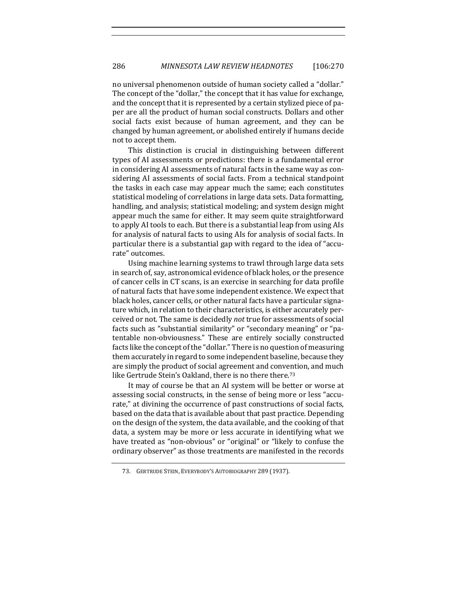no universal phenomenon outside of human society called a "dollar." The concept of the "dollar," the concept that it has value for exchange, and the concept that it is represented by a certain stylized piece of paper are all the product of human social constructs. Dollars and other social facts exist because of human agreement, and they can be changed by human agreement, or abolished entirely if humans decide not to accept them.

This distinction is crucial in distinguishing between different types of AI assessments or predictions: there is a fundamental error in considering AI assessments of natural facts in the same way as considering AI assessments of social facts. From a technical standpoint the tasks in each case may appear much the same; each constitutes statistical modeling of correlations in large data sets. Data formatting, handling, and analysis; statistical modeling; and system design might appear much the same for either. It may seem quite straightforward to apply AI tools to each. But there is a substantial leap from using AIs for analysis of natural facts to using AIs for analysis of social facts. In particular there is a substantial gap with regard to the idea of "accurate" outcomes. 

Using machine learning systems to trawl through large data sets in search of, say, astronomical evidence of black holes, or the presence of cancer cells in CT scans, is an exercise in searching for data profile of natural facts that have some independent existence. We expect that black holes, cancer cells, or other natural facts have a particular signature which, in relation to their characteristics, is either accurately perceived or not. The same is decidedly *not* true for assessments of social facts such as "substantial similarity" or "secondary meaning" or "patentable non-obviousness." These are entirely socially constructed facts like the concept of the "dollar." There is no question of measuring them accurately in regard to some independent baseline, because they are simply the product of social agreement and convention, and much like Gertrude Stein's Oakland, there is no there there.<sup>73</sup>

It may of course be that an AI system will be better or worse at assessing social constructs, in the sense of being more or less "accurate," at divining the occurrence of past constructions of social facts, based on the data that is available about that past practice. Depending on the design of the system, the data available, and the cooking of that data, a system may be more or less accurate in identifying what we have treated as "non-obvious" or "original" or "likely to confuse the ordinary observer" as those treatments are manifested in the records

<sup>73.</sup> GERTRUDE STEIN, EVERYBODY'S AUTOBIOGRAPHY 289 (1937).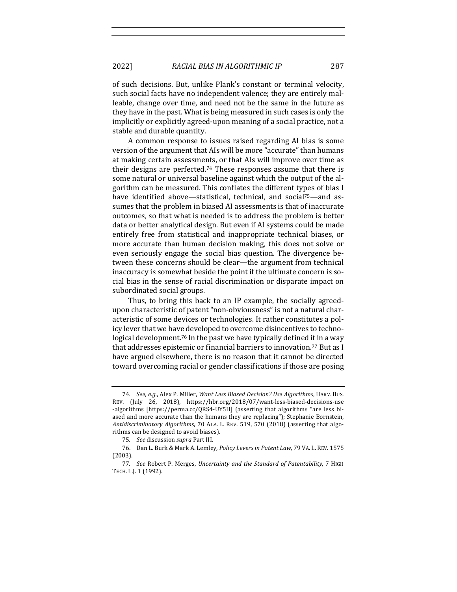of such decisions. But, unlike Plank's constant or terminal velocity, such social facts have no independent valence; they are entirely malleable, change over time, and need not be the same in the future as they have in the past. What is being measured in such cases is only the implicitly or explicitly agreed-upon meaning of a social practice, not a stable and durable quantity.

A common response to issues raised regarding AI bias is some version of the argument that AIs will be more "accurate" than humans at making certain assessments, or that AIs will improve over time as their designs are perfected.<sup>74</sup> These responses assume that there is some natural or universal baseline against which the output of the algorithm can be measured. This conflates the different types of bias I have identified above—statistical, technical, and social<sup>75</sup>—and assumes that the problem in biased AI assessments is that of inaccurate outcomes, so that what is needed is to address the problem is better data or better analytical design. But even if AI systems could be made entirely free from statistical and inappropriate technical biases, or more accurate than human decision making, this does not solve or even seriously engage the social bias question. The divergence between these concerns should be clear—the argument from technical inaccuracy is somewhat beside the point if the ultimate concern is social bias in the sense of racial discrimination or disparate impact on subordinated social groups.

Thus, to bring this back to an IP example, the socially agreedupon characteristic of patent "non-obviousness" is not a natural characteristic of some devices or technologies. It rather constitutes a policy lever that we have developed to overcome disincentives to technological development.<sup>76</sup> In the past we have typically defined it in a way that addresses epistemic or financial barriers to innovation.<sup>77</sup> But as I have argued elsewhere, there is no reason that it cannot be directed toward overcoming racial or gender classifications if those are posing

<sup>74.</sup> *See, e.g.*, Alex P. Miller, *Want Less Biased Decision? Use Algorithms*, HARV. Bus. REV. (July 26, 2018), https://hbr.org/2018/07/want-less-biased-decisions-use -algorithms [https://perma.cc/QRS4-UY5H] (asserting that algorithms "are less biased and more accurate than the humans they are replacing"); Stephanie Bornstein, Antidiscriminatory Algorithms, 70 ALA. L. REV. 519, 570 (2018) (asserting that algorithms can be designed to avoid biases).

<sup>75.</sup> See discussion supra Part III.

<sup>76.</sup> Dan L. Burk & Mark A. Lemley, *Policy Levers in Patent Law*, 79 VA. L. REV. 1575 (2003).

<sup>77.</sup> See Robert P. Merges, *Uncertainty and the Standard of Patentability*, 7 HIGH TECH. L.J. 1 (1992).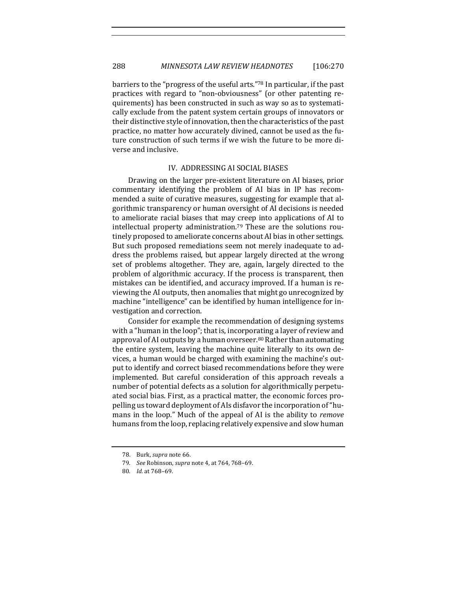288 *MINNESOTA LAW REVIEW HEADNOTES* [106:270

barriers to the "progress of the useful arts."78 In particular, if the past practices with regard to "non-obviousness" (or other patenting requirements) has been constructed in such as way so as to systematically exclude from the patent system certain groups of innovators or their distinctive style of innovation, then the characteristics of the past practice, no matter how accurately divined, cannot be used as the future construction of such terms if we wish the future to be more diverse and inclusive.

#### IV. ADDRESSING AI SOCIAL BIASES

Drawing on the larger pre-existent literature on AI biases, prior commentary identifying the problem of AI bias in IP has recommended a suite of curative measures, suggesting for example that algorithmic transparency or human oversight of AI decisions is needed to ameliorate racial biases that may creep into applications of AI to  $intellectual property$  administration.<sup>79</sup> These are the solutions routinely proposed to ameliorate concerns about AI bias in other settings. But such proposed remediations seem not merely inadequate to address the problems raised, but appear largely directed at the wrong set of problems altogether. They are, again, largely directed to the problem of algorithmic accuracy. If the process is transparent, then mistakes can be identified, and accuracy improved. If a human is reviewing the AI outputs, then anomalies that might go unrecognized by machine "intelligence" can be identified by human intelligence for investigation and correction.

Consider for example the recommendation of designing systems with a "human in the loop"; that is, incorporating a layer of review and approval of AI outputs by a human overseer.<sup>80</sup> Rather than automating the entire system, leaving the machine quite literally to its own devices, a human would be charged with examining the machine's output to identify and correct biased recommendations before they were implemented. But careful consideration of this approach reveals a number of potential defects as a solution for algorithmically perpetuated social bias. First, as a practical matter, the economic forces propelling us toward deployment of AIs disfavor the incorporation of "humans in the loop." Much of the appeal of AI is the ability to *remove* humans from the loop, replacing relatively expensive and slow human

<sup>78.</sup> Burk, *supra* note 66.

<sup>79.</sup> *See* Robinson, *supra* note 4, at 764, 768-69.

<sup>80</sup>*. Id.* at 768–69.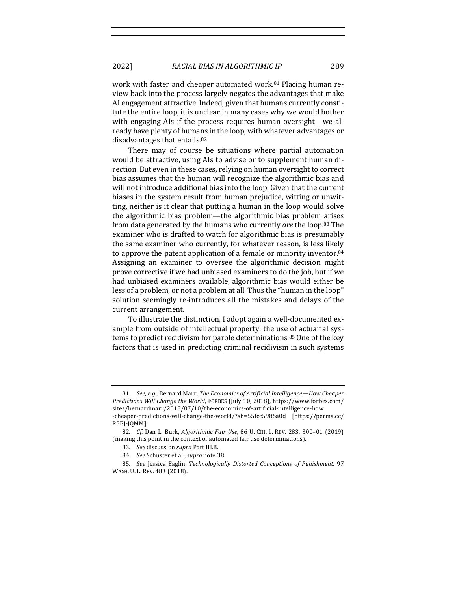2022] *RACIAL BIAS IN ALGORITHMIC IP* 289

work with faster and cheaper automated work.<sup>81</sup> Placing human review back into the process largely negates the advantages that make AI engagement attractive. Indeed, given that humans currently constitute the entire loop, it is unclear in many cases why we would bother with engaging AIs if the process requires human oversight—we already have plenty of humans in the loop, with whatever advantages or disadvantages that entails.<sup>82</sup>

There may of course be situations where partial automation would be attractive, using AIs to advise or to supplement human direction. But even in these cases, relying on human oversight to correct bias assumes that the human will recognize the algorithmic bias and will not introduce additional bias into the loop. Given that the current biases in the system result from human prejudice, witting or unwitting, neither is it clear that putting a human in the loop would solve the algorithmic bias problem—the algorithmic bias problem arises from data generated by the humans who currently *are* the loop.<sup>83</sup> The examiner who is drafted to watch for algorithmic bias is presumably the same examiner who currently, for whatever reason, is less likely to approve the patent application of a female or minority inventor. $84$ Assigning an examiner to oversee the algorithmic decision might prove corrective if we had unbiased examiners to do the job, but if we had unbiased examiners available, algorithmic bias would either be less of a problem, or not a problem at all. Thus the "human in the loop" solution seemingly re-introduces all the mistakes and delays of the current arrangement.

To illustrate the distinction, I adopt again a well-documented example from outside of intellectual property, the use of actuarial systems to predict recidivism for parole determinations.<sup>85</sup> One of the key factors that is used in predicting criminal recidivism in such systems

<sup>81.</sup> *See, e.g.*, Bernard Marr, The Economics of Artificial Intelligence—How Cheaper *Predictions Will Change the World*, FORBES (July 10, 2018), https://www.forbes.com/ sites/bernardmarr/2018/07/10/the-economics-of-artificial-intelligence-how -cheaper-predictions-will-change-the-world/?sh=55fcc5985a0d [https://perma.cc/ R5EJ-JQMM].

<sup>82</sup>*. Cf*. Dan L. Burk, *Algorithmic Fair Use,* 86 U. CHI. L. REV. 283, 300–01 (2019) (making this point in the context of automated fair use determinations).

<sup>83.</sup> See discussion supra Part III.B.

<sup>84.</sup> *See* Schuster et al., *supra* note 38.

<sup>85.</sup> *See* Jessica Eaglin, *Technologically Distorted Conceptions of Punishment*, 97 WASH. U. L. REV. 483 (2018).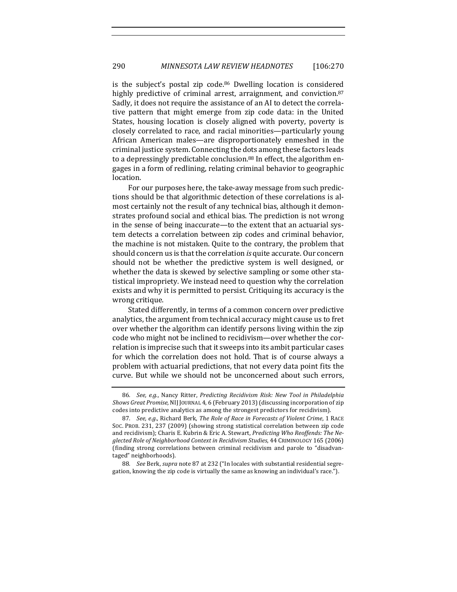is the subject's postal zip code.<sup>86</sup> Dwelling location is considered highly predictive of criminal arrest, arraignment, and conviction.<sup>87</sup> Sadly, it does not require the assistance of an AI to detect the correlative pattern that might emerge from zip code data: in the United States, housing location is closely aligned with poverty, poverty is closely correlated to race, and racial minorities—particularly young African American males—are disproportionately enmeshed in the criminal justice system. Connecting the dots among these factors leads to a depressingly predictable conclusion.<sup>88</sup> In effect, the algorithm engages in a form of redlining, relating criminal behavior to geographic location. 

For our purposes here, the take-away message from such predictions should be that algorithmic detection of these correlations is almost certainly not the result of any technical bias, although it demonstrates profound social and ethical bias. The prediction is not wrong in the sense of being inaccurate—to the extent that an actuarial system detects a correlation between zip codes and criminal behavior, the machine is not mistaken. Quite to the contrary, the problem that should concern us is that the correlation *is* quite accurate. Our concern should not be whether the predictive system is well designed, or whether the data is skewed by selective sampling or some other statistical impropriety. We instead need to question why the correlation exists and why it is permitted to persist. Critiquing its accuracy is the wrong critique.

Stated differently, in terms of a common concern over predictive analytics, the argument from technical accuracy might cause us to fret over whether the algorithm can identify persons living within the zip code who might not be inclined to recidivism—over whether the correlation is imprecise such that it sweeps into its ambit particular cases for which the correlation does not hold. That is of course always a problem with actuarial predictions, that not every data point fits the curve. But while we should not be unconcerned about such errors,

<sup>86.</sup> *See, e.g.*, Nancy Ritter, *Predicting Recidivism Risk: New Tool in Philadelphia Shows Great Promise, NIJ JOURNAL 4, 6 (February 2013)* (discussing incorporation of zip codes into predictive analytics as among the strongest predictors for recidivism).

<sup>87.</sup> *See, e.g.*, Richard Berk, *The Role of Race in Forecasts of Violent Crime*, 1 RACE SOC. PROB. 231, 237 (2009) (showing strong statistical correlation between zip code and recidivism); Charis E. Kubrin & Eric A. Stewart, *Predicting Who Reoffends: The Ne*glected Role of Neighborhood Context in Recidivism Studies, 44 CRIMINOLOGY 165 (2006) (finding strong correlations between criminal recidivism and parole to "disadvantaged" neighborhoods).

<sup>88.</sup> *See* Berk, *supra* note 87 at 232 ("In locales with substantial residential segregation, knowing the zip code is virtually the same as knowing an individual's race.").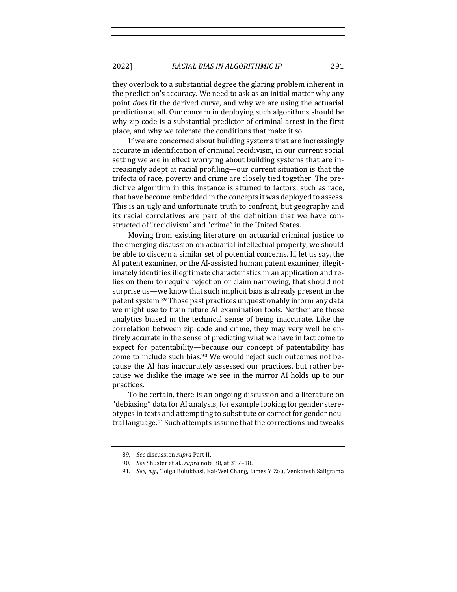2022] *RACIAL BIAS IN ALGORITHMIC IP* 291

they overlook to a substantial degree the glaring problem inherent in the prediction's accuracy. We need to ask as an initial matter why any point *does* fit the derived curve, and why we are using the actuarial prediction at all. Our concern in deploying such algorithms should be why zip code is a substantial predictor of criminal arrest in the first place, and why we tolerate the conditions that make it so.

If we are concerned about building systems that are increasingly accurate in identification of criminal recidivism, in our current social setting we are in effect worrying about building systems that are increasingly adept at racial profiling—our current situation is that the trifecta of race, poverty and crime are closely tied together. The predictive algorithm in this instance is attuned to factors, such as race, that have become embedded in the concepts it was deployed to assess. This is an ugly and unfortunate truth to confront, but geography and its racial correlatives are part of the definition that we have constructed of "recidivism" and "crime" in the United States.

Moving from existing literature on actuarial criminal justice to the emerging discussion on actuarial intellectual property, we should be able to discern a similar set of potential concerns. If, let us say, the AI patent examiner, or the AI-assisted human patent examiner, illegitimately identifies illegitimate characteristics in an application and relies on them to require rejection or claim narrowing, that should not surprise us—we know that such implicit bias is already present in the patent system.<sup>89</sup> Those past practices unquestionably inform any data we might use to train future AI examination tools. Neither are those analytics biased in the technical sense of being inaccurate. Like the correlation between zip code and crime, they may very well be entirely accurate in the sense of predicting what we have in fact come to expect for patentability—because our concept of patentability has come to include such bias.<sup>90</sup> We would reject such outcomes not because the AI has inaccurately assessed our practices, but rather because we dislike the image we see in the mirror AI holds up to our practices.

To be certain, there is an ongoing discussion and a literature on "debiasing" data for AI analysis, for example looking for gender stereotypes in texts and attempting to substitute or correct for gender neutral language.<sup>91</sup> Such attempts assume that the corrections and tweaks

<sup>89.</sup> See discussion supra Part II.

<sup>90.</sup> *See* Shuster et al., *supra* note 38, at 317-18.

<sup>91.</sup> *See, e.g.*, Tolga Bolukbasi, Kai-Wei Chang, James Y Zou, Venkatesh Saligrama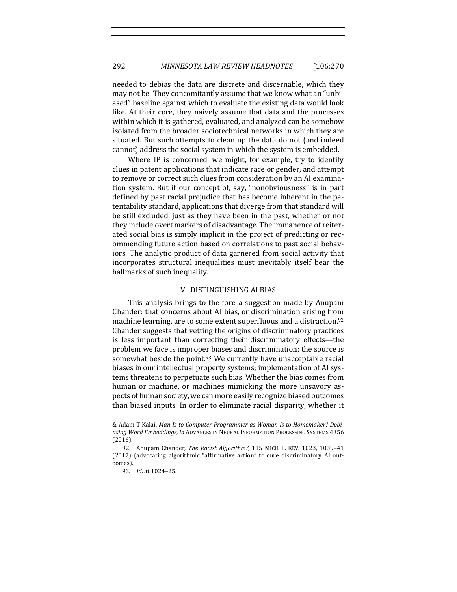needed to debias the data are discrete and discernable, which they may not be. They concomitantly assume that we know what an "unbiased" baseline against which to evaluate the existing data would look like. At their core, they naively assume that data and the processes within which it is gathered, evaluated, and analyzed can be somehow isolated from the broader sociotechnical networks in which they are situated. But such attempts to clean up the data do not (and indeed cannot) address the social system in which the system is embedded.

Where IP is concerned, we might, for example, try to identify clues in patent applications that indicate race or gender, and attempt to remove or correct such clues from consideration by an AI examination system. But if our concept of, say, "nonobviousness" is in part defined by past racial prejudice that has become inherent in the patentability standard, applications that diverge from that standard will be still excluded, just as they have been in the past, whether or not they include overt markers of disadvantage. The immanence of reiterated social bias is simply implicit in the project of predicting or recommending future action based on correlations to past social behaviors. The analytic product of data garnered from social activity that incorporates structural inequalities must inevitably itself bear the hallmarks of such inequality.

#### V. DISTINGUISHING AI BIAS

This analysis brings to the fore a suggestion made by Anupam Chander: that concerns about AI bias, or discrimination arising from machine learning, are to some extent superfluous and a distraction.<sup>92</sup> Chander suggests that vetting the origins of discriminatory practices is less important than correcting their discriminatory effects-the problem we face is improper biases and discrimination; the source is somewhat beside the point. $93$  We currently have unacceptable racial biases in our intellectual property systems; implementation of AI systems threatens to perpetuate such bias. Whether the bias comes from human or machine, or machines mimicking the more unsavory aspects of human society, we can more easily recognize biased outcomes than biased inputs. In order to eliminate racial disparity, whether it

<sup>&</sup>amp; Adam T Kalai, *Man Is to Computer Programmer as Woman Is to Homemaker? Debi*asing Word Embeddings, in ADVANCES IN NEURAL INFORMATION PROCESSING SYSTEMS 4356 (2016).

<sup>92.</sup> Anupam Chander, *The Racist Algorithm?*, 115 MICH. L. REV. 1023, 1039-41 (2017) (advocating algorithmic "affirmative action" to cure discriminatory AI outcomes).

<sup>93.</sup> *Id.* at 1024-25.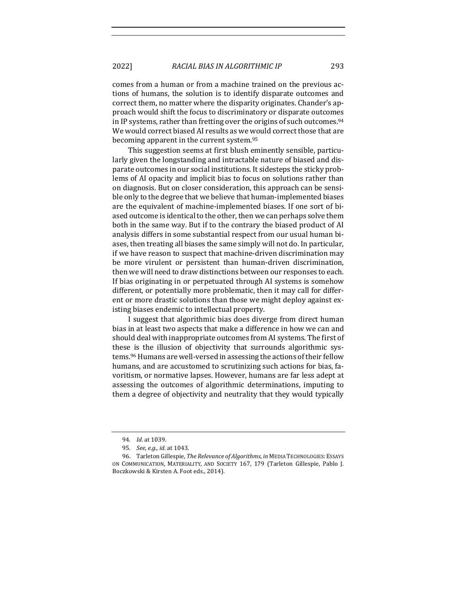2022] *RACIAL BIAS IN ALGORITHMIC IP* 293

comes from a human or from a machine trained on the previous actions of humans, the solution is to identify disparate outcomes and correct them, no matter where the disparity originates. Chander's approach would shift the focus to discriminatory or disparate outcomes in IP systems, rather than fretting over the origins of such outcomes.<sup>94</sup> We would correct biased AI results as we would correct those that are becoming apparent in the current system.<sup>95</sup>

This suggestion seems at first blush eminently sensible, particularly given the longstanding and intractable nature of biased and disparate outcomes in our social institutions. It sidesteps the sticky problems of AI opacity and implicit bias to focus on solutions rather than on diagnosis. But on closer consideration, this approach can be sensible only to the degree that we believe that human-implemented biases are the equivalent of machine-implemented biases. If one sort of biased outcome is identical to the other, then we can perhaps solve them both in the same way. But if to the contrary the biased product of AI analysis differs in some substantial respect from our usual human biases, then treating all biases the same simply will not do. In particular, if we have reason to suspect that machine-driven discrimination may be more virulent or persistent than human-driven discrimination, then we will need to draw distinctions between our responses to each. If bias originating in or perpetuated through AI systems is somehow different, or potentially more problematic, then it may call for different or more drastic solutions than those we might deploy against existing biases endemic to intellectual property.

I suggest that algorithmic bias does diverge from direct human bias in at least two aspects that make a difference in how we can and should deal with inappropriate outcomes from AI systems. The first of these is the illusion of objectivity that surrounds algorithmic systems.<sup>96</sup> Humans are well-versed in assessing the actions of their fellow humans, and are accustomed to scrutinizing such actions for bias, favoritism, or normative lapses. However, humans are far less adept at assessing the outcomes of algorithmic determinations, imputing to them a degree of objectivity and neutrality that they would typically

<sup>94</sup>*. Id*. at 1039.

<sup>95.</sup> *See, e.g., id.* at 1043.

<sup>96.</sup> Tarleton Gillespie, *The Relevance of Algorithms*, *in* MEDIA TECHNOLOGIES: ESSAYS ON COMMUNICATION, MATERIALITY, AND SOCIETY 167, 179 (Tarleton Gillespie, Pablo J. Boczkowski & Kirsten A. Foot eds., 2014).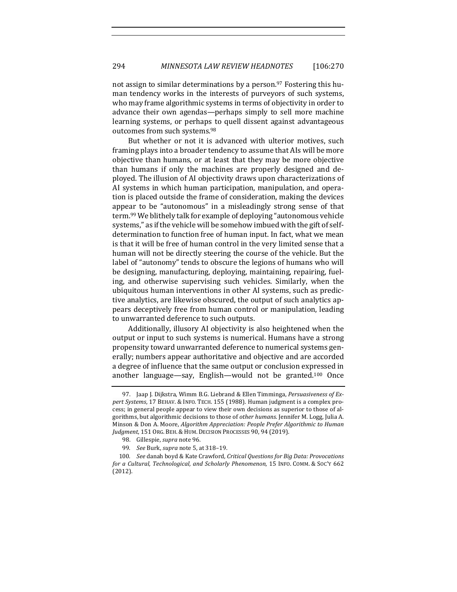not assign to similar determinations by a person.<sup>97</sup> Fostering this human tendency works in the interests of purveyors of such systems, who may frame algorithmic systems in terms of objectivity in order to advance their own agendas—perhaps simply to sell more machine learning systems, or perhaps to quell dissent against advantageous outcomes from such systems.<sup>98</sup>

But whether or not it is advanced with ulterior motives, such framing plays into a broader tendency to assume that AIs will be more objective than humans, or at least that they may be more objective than humans if only the machines are properly designed and deployed. The illusion of AI objectivity draws upon characterizations of AI systems in which human participation, manipulation, and operation is placed outside the frame of consideration, making the devices appear to be "autonomous" in a misleadingly strong sense of that term.<sup>99</sup> We blithely talk for example of deploying "autonomous vehicle systems," as if the vehicle will be somehow imbued with the gift of selfdetermination to function free of human input. In fact, what we mean is that it will be free of human control in the very limited sense that a human will not be directly steering the course of the vehicle. But the label of "autonomy" tends to obscure the legions of humans who will be designing, manufacturing, deploying, maintaining, repairing, fueling, and otherwise supervising such vehicles. Similarly, when the ubiquitous human interventions in other AI systems, such as predictive analytics, are likewise obscured, the output of such analytics appears deceptively free from human control or manipulation, leading to unwarranted deference to such outputs.

Additionally, illusory AI objectivity is also heightened when the output or input to such systems is numerical. Humans have a strong propensity toward unwarranted deference to numerical systems generally; numbers appear authoritative and objective and are accorded a degree of influence that the same output or conclusion expressed in another language—say, English—would not be granted.<sup>100</sup> Once

<sup>97.</sup> Jaap J. Dijkstra, Wimm B.G. Liebrand & Ellen Timminga, *Persuasiveness of Expert Systems*, 17 BEHAV. & INFO. TECH. 155 (1988). Human judgment is a complex process; in general people appear to view their own decisions as superior to those of algorithms, but algorithmic decisions to those of *other humans*. Jennifer M. Logg, Julia A. Minson & Don A. Moore, *Algorithm Appreciation: People Prefer Algorithmic to Human Judgment*, 151 ORG. BEH. & HUM. DECISION PROCESSES 90, 94 (2019).

<sup>98.</sup> Gillespie, *supra* note 96.

<sup>99</sup>*. See* Burk, *supra* note 5, at 318–19.

<sup>100.</sup> See danah boyd & Kate Crawford, Critical Questions for Big Data: Provocations for a Cultural, Technological, and Scholarly Phenomenon, 15 INFO. COMM. & SOC'Y 662 (2012).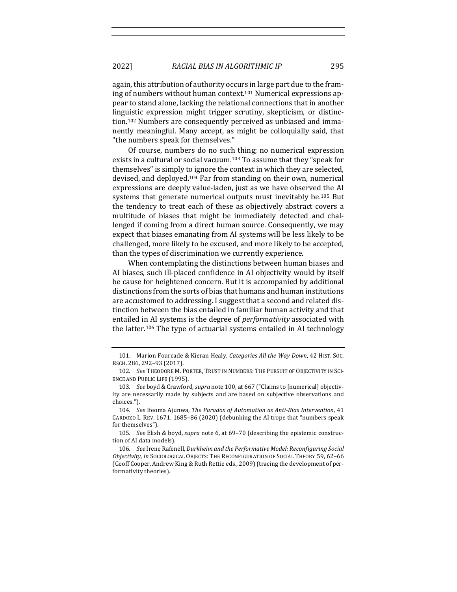again, this attribution of authority occurs in large part due to the framing of numbers without human context.<sup>101</sup> Numerical expressions appear to stand alone, lacking the relational connections that in another linguistic expression might trigger scrutiny, skepticism, or distinction.<sup>102</sup> Numbers are consequently perceived as unbiased and immanently meaningful. Many accept, as might be colloquially said, that "the numbers speak for themselves."

Of course, numbers do no such thing; no numerical expression exists in a cultural or social vacuum.<sup>103</sup> To assume that they "speak for themselves" is simply to ignore the context in which they are selected, devised, and deployed.<sup>104</sup> Far from standing on their own, numerical expressions are deeply value-laden, just as we have observed the AI systems that generate numerical outputs must inevitably be.<sup>105</sup> But the tendency to treat each of these as objectively abstract covers a multitude of biases that might be immediately detected and challenged if coming from a direct human source. Consequently, we may expect that biases emanating from AI systems will be less likely to be challenged, more likely to be excused, and more likely to be accepted, than the types of discrimination we currently experience.

When contemplating the distinctions between human biases and AI biases, such ill-placed confidence in AI objectivity would by itself be cause for heightened concern. But it is accompanied by additional distinctions from the sorts of bias that humans and human institutions are accustomed to addressing. I suggest that a second and related distinction between the bias entailed in familiar human activity and that entailed in AI systems is the degree of *performativity* associated with the latter.<sup>106</sup> The type of actuarial systems entailed in AI technology

<sup>101.</sup> Marion Fourcade & Kieran Healy, *Categories All the Way Down*, 42 HIST. Soc. RSCH. 286, 292-93 (2017).

<sup>102.</sup> *See* THEODORE M. PORTER, TRUST IN NUMBERS: THE PURSUIT OF OBJECTIVITY IN SCI-ENCE AND PUBLIC LIFE (1995).

<sup>103.</sup> *See* boyd & Crawford, *supra* note 100, at 667 ("Claims to [numerical] objectivity are necessarily made by subjects and are based on subjective observations and choices.").

<sup>104</sup>*. See* Ifeoma Ajunwa, *The Paradox of Automation as Anti-Bias Intervention*, 41 CARDOZO L. REV. 1671, 1685-86 (2020) (debunking the AI trope that "numbers speak for themselves").

<sup>105.</sup> *See* Elish & boyd, *supra* note 6, at 69-70 (describing the epistemic construction of AI data models).

<sup>106.</sup> See Irene Rafenell, Durkheim and the Performative Model: Reconfiguring Social *Objectivity, in* SOCIOLOGICAL OBJECTS: THE RECONFIGURATION OF SOCIAL THEORY 59, 62–66 (Geoff Cooper, Andrew King & Ruth Rettie eds., 2009) (tracing the development of performativity theories).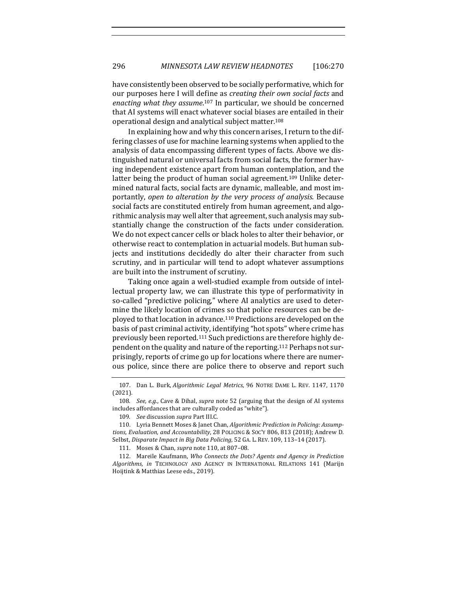have consistently been observed to be socially performative, which for our purposes here I will define as *creating their own social facts* and enacting what they assume.<sup>107</sup> In particular, we should be concerned that AI systems will enact whatever social biases are entailed in their operational design and analytical subject matter.<sup>108</sup>

In explaining how and why this concern arises, I return to the differing classes of use for machine learning systems when applied to the analysis of data encompassing different types of facts. Above we distinguished natural or universal facts from social facts, the former having independent existence apart from human contemplation, and the latter being the product of human social agreement.<sup>109</sup> Unlike determined natural facts, social facts are dynamic, malleable, and most importantly, open to alteration by the very process of analysis. Because social facts are constituted entirely from human agreement, and algorithmic analysis may well alter that agreement, such analysis may substantially change the construction of the facts under consideration. We do not expect cancer cells or black holes to alter their behavior, or otherwise react to contemplation in actuarial models. But human subjects and institutions decidedly do alter their character from such scrutiny, and in particular will tend to adopt whatever assumptions are built into the instrument of scrutiny.

Taking once again a well-studied example from outside of intellectual property law, we can illustrate this type of performativity in so-called "predictive policing," where AI analytics are used to determine the likely location of crimes so that police resources can be deployed to that location in advance.<sup>110</sup> Predictions are developed on the basis of past criminal activity, identifying "hot spots" where crime has previously been reported.<sup>111</sup> Such predictions are therefore highly dependent on the quality and nature of the reporting.<sup>112</sup> Perhaps not surprisingly, reports of crime go up for locations where there are numerous police, since there are police there to observe and report such

<sup>107.</sup> Dan L. Burk, *Algorithmic Legal Metrics*, 96 NOTRE DAME L. REV. 1147, 1170 (2021).

<sup>108.</sup> *See, e.g.*, Cave & Dihal, *supra* note 52 (arguing that the design of AI systems includes affordances that are culturally coded as "white").

<sup>109.</sup> See discussion *supra* Part III.C.

<sup>110.</sup> Lyria Bennett Moses & Janet Chan, *Algorithmic Prediction in Policing: Assump*tions, Evaluation, and Accountability, 28 POLICING & SOC'Y 806, 813 (2018); Andrew D. Selbst, Disparate Impact in Big Data Policing, 52 GA. L. REV. 109, 113-14 (2017).

<sup>111.</sup> Moses & Chan, *supra* note 110, at 807-08.

<sup>112.</sup> Mareile Kaufmann, Who Connects the Dots? Agents and Agency in Prediction Algorithms, in TECHNOLOGY AND AGENCY IN INTERNATIONAL RELATIONS 141 (Marijn Hoijtink & Matthias Leese eds., 2019).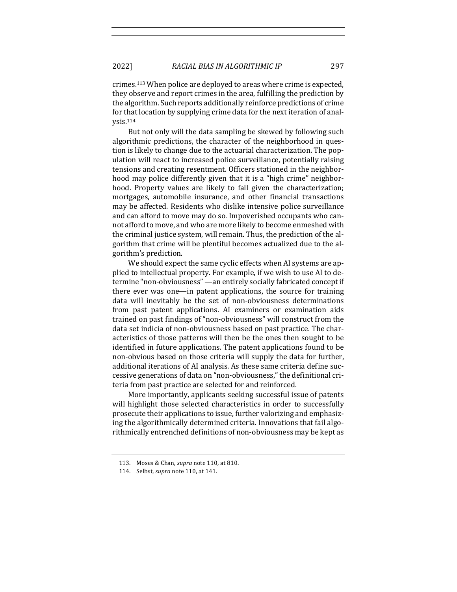crimes.<sup>113</sup> When police are deployed to areas where crime is expected, they observe and report crimes in the area, fulfilling the prediction by the algorithm. Such reports additionally reinforce predictions of crime for that location by supplying crime data for the next iteration of analysis.114

But not only will the data sampling be skewed by following such algorithmic predictions, the character of the neighborhood in question is likely to change due to the actuarial characterization. The population will react to increased police surveillance, potentially raising tensions and creating resentment. Officers stationed in the neighborhood may police differently given that it is a "high crime" neighborhood. Property values are likely to fall given the characterization; mortgages, automobile insurance, and other financial transactions may be affected. Residents who dislike intensive police surveillance and can afford to move may do so. Impoverished occupants who cannot afford to move, and who are more likely to become enmeshed with the criminal justice system, will remain. Thus, the prediction of the algorithm that crime will be plentiful becomes actualized due to the algorithm's prediction.

We should expect the same cyclic effects when AI systems are applied to intellectual property. For example, if we wish to use AI to determine "non-obviousness" —an entirely socially fabricated concept if there ever was one—in patent applications, the source for training data will inevitably be the set of non-obviousness determinations from past patent applications. AI examiners or examination aids trained on past findings of "non-obviousness" will construct from the data set indicia of non-obviousness based on past practice. The characteristics of those patterns will then be the ones then sought to be identified in future applications. The patent applications found to be non-obvious based on those criteria will supply the data for further, additional iterations of AI analysis. As these same criteria define successive generations of data on "non-obviousness," the definitional criteria from past practice are selected for and reinforced.

More importantly, applicants seeking successful issue of patents will highlight those selected characteristics in order to successfully prosecute their applications to issue, further valorizing and emphasizing the algorithmically determined criteria. Innovations that fail algorithmically entrenched definitions of non-obviousness may be kept as

<sup>113.</sup> Moses & Chan, *supra* note 110, at 810.

<sup>114.</sup> Selbst, *supra* note 110, at 141.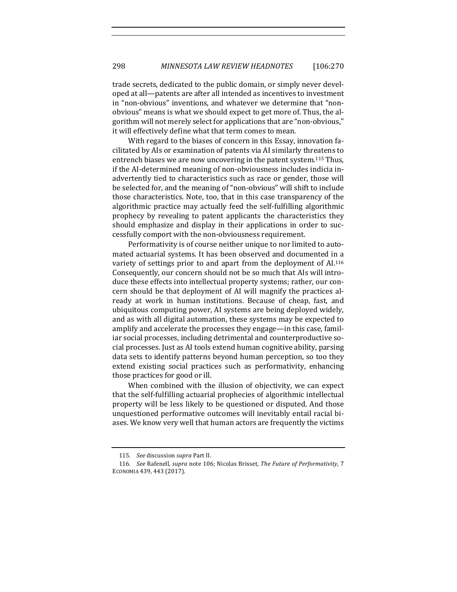trade secrets, dedicated to the public domain, or simply never developed at all—patents are after all intended as incentives to investment in "non-obvious" inventions, and whatever we determine that "nonobvious" means is what we should expect to get more of. Thus, the algorithm will not merely select for applications that are "non-obvious," it will effectively define what that term comes to mean.

With regard to the biases of concern in this Essay, innovation facilitated by AIs or examination of patents via AI similarly threatens to entrench biases we are now uncovering in the patent system.<sup>115</sup> Thus, if the AI-determined meaning of non-obviousness includes indicia inadvertently tied to characteristics such as race or gender, those will be selected for, and the meaning of "non-obvious" will shift to include those characteristics. Note, too, that in this case transparency of the algorithmic practice may actually feed the self-fulfilling algorithmic prophecy by revealing to patent applicants the characteristics they should emphasize and display in their applications in order to successfully comport with the non-obviousness requirement.

Performativity is of course neither unique to nor limited to automated actuarial systems. It has been observed and documented in a variety of settings prior to and apart from the deployment of AI.<sup>116</sup> Consequently, our concern should not be so much that AIs will introduce these effects into intellectual property systems; rather, our concern should be that deployment of AI will magnify the practices already at work in human institutions. Because of cheap, fast, and ubiquitous computing power, AI systems are being deployed widely, and as with all digital automation, these systems may be expected to amplify and accelerate the processes they engage-in this case, familiar social processes, including detrimental and counterproductive social processes. Just as AI tools extend human cognitive ability, parsing data sets to identify patterns beyond human perception, so too they extend existing social practices such as performativity, enhancing those practices for good or ill.

When combined with the illusion of objectivity, we can expect that the self-fulfilling actuarial prophecies of algorithmic intellectual property will be less likely to be questioned or disputed. And those unquestioned performative outcomes will inevitably entail racial biases. We know very well that human actors are frequently the victims

<sup>115.</sup> *See* discussion *supra* Part II.

<sup>116.</sup> *See* Rafenell, *supra* note 106; Nicolas Brisset, *The Future of Performativity*, 7 ECONOMIA 439, 443 (2017).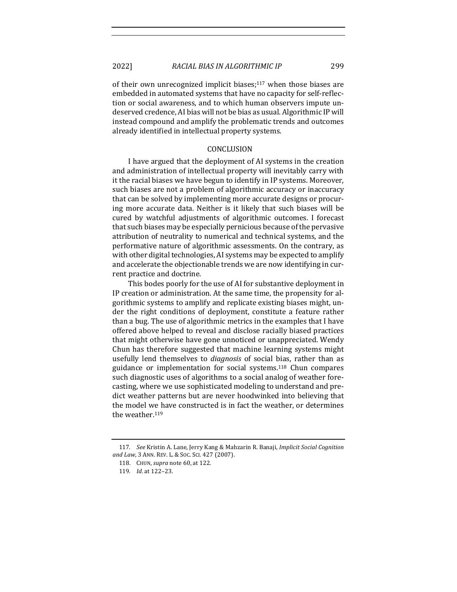of their own unrecognized implicit biases;<sup>117</sup> when those biases are embedded in automated systems that have no capacity for self-reflection or social awareness, and to which human observers impute undeserved credence. AI bias will not be bias as usual. Algorithmic IP will instead compound and amplify the problematic trends and outcomes already identified in intellectual property systems.

#### CONCLUSION

I have argued that the deployment of AI systems in the creation and administration of intellectual property will inevitably carry with it the racial biases we have begun to identify in IP systems. Moreover, such biases are not a problem of algorithmic accuracy or inaccuracy that can be solved by implementing more accurate designs or procuring more accurate data. Neither is it likely that such biases will be cured by watchful adjustments of algorithmic outcomes. I forecast that such biases may be especially pernicious because of the pervasive attribution of neutrality to numerical and technical systems, and the performative nature of algorithmic assessments. On the contrary, as with other digital technologies, AI systems may be expected to amplify and accelerate the objectionable trends we are now identifying in current practice and doctrine.

This bodes poorly for the use of AI for substantive deployment in IP creation or administration. At the same time, the propensity for algorithmic systems to amplify and replicate existing biases might, under the right conditions of deployment, constitute a feature rather than a bug. The use of algorithmic metrics in the examples that I have offered above helped to reveal and disclose racially biased practices that might otherwise have gone unnoticed or unappreciated. Wendy Chun has therefore suggested that machine learning systems might usefully lend themselves to *diagnosis* of social bias, rather than as guidance or implementation for social systems.<sup>118</sup> Chun compares such diagnostic uses of algorithms to a social analog of weather forecasting, where we use sophisticated modeling to understand and predict weather patterns but are never hoodwinked into believing that the model we have constructed is in fact the weather, or determines the weather.<sup>119</sup>

<sup>117.</sup> *See Kristin A. Lane, Jerry Kang & Mahzarin R. Banaji, Implicit Social Cognition* and Law, 3 ANN. REV. L. & Soc. Sci. 427 (2007).

<sup>118.</sup> CHUN, *supra* note 60, at 122.

<sup>119</sup>*. Id*. at 122–23.